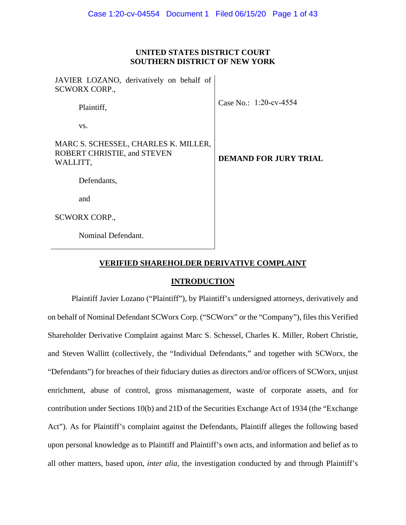## **UNITED STATES DISTRICT COURT SOUTHERN DISTRICT OF NEW YORK**

| JAVIER LOZANO, derivatively on behalf of<br><b>SCWORX CORP.,</b>                |                              |
|---------------------------------------------------------------------------------|------------------------------|
| Plaintiff,                                                                      | Case No.: 1:20-cv-4554       |
| VS.                                                                             |                              |
| MARC S. SCHESSEL, CHARLES K. MILLER,<br>ROBERT CHRISTIE, and STEVEN<br>WALLITT, | <b>DEMAND FOR JURY TRIAL</b> |
| Defendants,                                                                     |                              |
| and                                                                             |                              |
| <b>SCWORX CORP.,</b>                                                            |                              |
| Nominal Defendant.                                                              |                              |

## **VERIFIED SHAREHOLDER DERIVATIVE COMPLAINT**

### **INTRODUCTION**

Plaintiff Javier Lozano ("Plaintiff"), by Plaintiff's undersigned attorneys, derivatively and on behalf of Nominal Defendant SCWorx Corp. ("SCWorx" or the "Company"), files this Verified Shareholder Derivative Complaint against Marc S. Schessel, Charles K. Miller, Robert Christie, and Steven Wallitt (collectively, the "Individual Defendants," and together with SCWorx, the "Defendants") for breaches of their fiduciary duties as directors and/or officers of SCWorx, unjust enrichment, abuse of control, gross mismanagement, waste of corporate assets, and for contribution under Sections 10(b) and 21D of the Securities Exchange Act of 1934 (the "Exchange Act"). As for Plaintiff's complaint against the Defendants, Plaintiff alleges the following based upon personal knowledge as to Plaintiff and Plaintiff's own acts, and information and belief as to all other matters, based upon, *inter alia*, the investigation conducted by and through Plaintiff's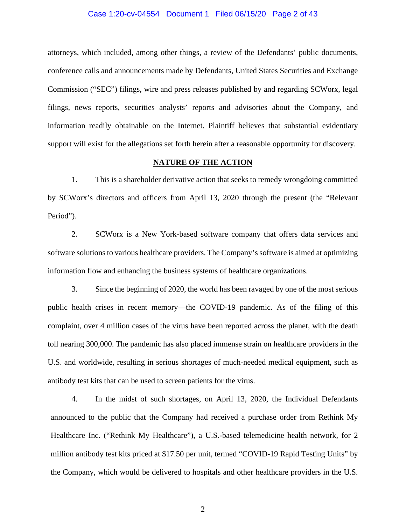#### Case 1:20-cv-04554 Document 1 Filed 06/15/20 Page 2 of 43

attorneys, which included, among other things, a review of the Defendants' public documents, conference calls and announcements made by Defendants, United States Securities and Exchange Commission ("SEC") filings, wire and press releases published by and regarding SCWorx, legal filings, news reports, securities analysts' reports and advisories about the Company, and information readily obtainable on the Internet. Plaintiff believes that substantial evidentiary support will exist for the allegations set forth herein after a reasonable opportunity for discovery.

#### **NATURE OF THE ACTION**

1. This is a shareholder derivative action that seeks to remedy wrongdoing committed by SCWorx's directors and officers from April 13, 2020 through the present (the "Relevant Period").

2. SCWorx is a New York-based software company that offers data services and software solutions to various healthcare providers. The Company's software is aimed at optimizing information flow and enhancing the business systems of healthcare organizations.

3. Since the beginning of 2020, the world has been ravaged by one of the most serious public health crises in recent memory—the COVID-19 pandemic. As of the filing of this complaint, over 4 million cases of the virus have been reported across the planet, with the death toll nearing 300,000. The pandemic has also placed immense strain on healthcare providers in the U.S. and worldwide, resulting in serious shortages of much-needed medical equipment, such as antibody test kits that can be used to screen patients for the virus.

4. In the midst of such shortages, on April 13, 2020, the Individual Defendants announced to the public that the Company had received a purchase order from Rethink My Healthcare Inc. ("Rethink My Healthcare"), a U.S.-based telemedicine health network, for 2 million antibody test kits priced at \$17.50 per unit, termed "COVID-19 Rapid Testing Units" by the Company, which would be delivered to hospitals and other healthcare providers in the U.S.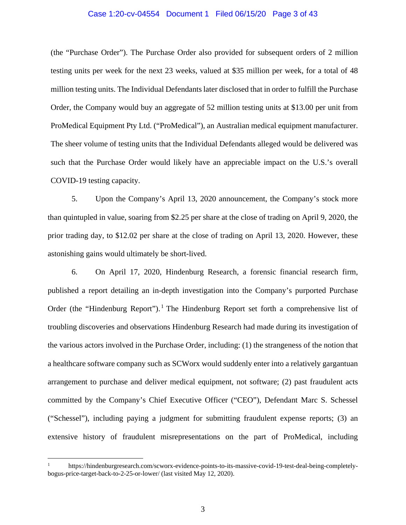#### Case 1:20-cv-04554 Document 1 Filed 06/15/20 Page 3 of 43

(the "Purchase Order"). The Purchase Order also provided for subsequent orders of 2 million testing units per week for the next 23 weeks, valued at \$35 million per week, for a total of 48 million testing units. The Individual Defendants later disclosed that in order to fulfill the Purchase Order, the Company would buy an aggregate of 52 million testing units at \$13.00 per unit from ProMedical Equipment Pty Ltd. ("ProMedical"), an Australian medical equipment manufacturer. The sheer volume of testing units that the Individual Defendants alleged would be delivered was such that the Purchase Order would likely have an appreciable impact on the U.S.'s overall COVID-19 testing capacity.

5. Upon the Company's April 13, 2020 announcement, the Company's stock more than quintupled in value, soaring from \$2.25 per share at the close of trading on April 9, 2020, the prior trading day, to \$12.02 per share at the close of trading on April 13, 2020. However, these astonishing gains would ultimately be short-lived.

6. On April 17, 2020, Hindenburg Research, a forensic financial research firm, published a report detailing an in-depth investigation into the Company's purported Purchase Order (the "Hindenburg Report").<sup>[1](#page-2-0)</sup> The Hindenburg Report set forth a comprehensive list of troubling discoveries and observations Hindenburg Research had made during its investigation of the various actors involved in the Purchase Order, including: (1) the strangeness of the notion that a healthcare software company such as SCWorx would suddenly enter into a relatively gargantuan arrangement to purchase and deliver medical equipment, not software; (2) past fraudulent acts committed by the Company's Chief Executive Officer ("CEO"), Defendant Marc S. Schessel ("Schessel"), including paying a judgment for submitting fraudulent expense reports; (3) an extensive history of fraudulent misrepresentations on the part of ProMedical, including

<span id="page-2-0"></span><sup>1</sup> https://hindenburgresearch.com/scworx-evidence-points-to-its-massive-covid-19-test-deal-being-completelybogus-price-target-back-to-2-25-or-lower/ (last visited May 12, 2020).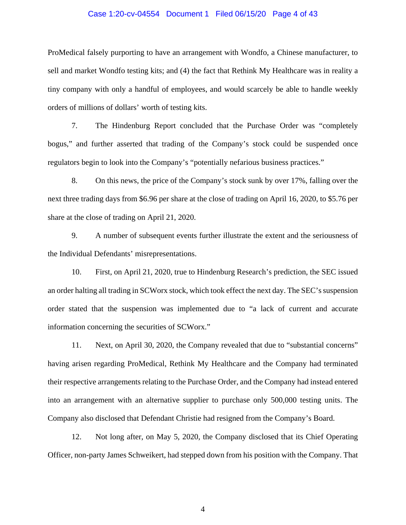#### Case 1:20-cv-04554 Document 1 Filed 06/15/20 Page 4 of 43

ProMedical falsely purporting to have an arrangement with Wondfo, a Chinese manufacturer, to sell and market Wondfo testing kits; and (4) the fact that Rethink My Healthcare was in reality a tiny company with only a handful of employees, and would scarcely be able to handle weekly orders of millions of dollars' worth of testing kits.

7. The Hindenburg Report concluded that the Purchase Order was "completely bogus," and further asserted that trading of the Company's stock could be suspended once regulators begin to look into the Company's "potentially nefarious business practices."

8. On this news, the price of the Company's stock sunk by over 17%, falling over the next three trading days from \$6.96 per share at the close of trading on April 16, 2020, to \$5.76 per share at the close of trading on April 21, 2020.

9. A number of subsequent events further illustrate the extent and the seriousness of the Individual Defendants' misrepresentations.

10. First, on April 21, 2020, true to Hindenburg Research's prediction, the SEC issued an order halting all trading in SCWorx stock, which took effect the next day. The SEC's suspension order stated that the suspension was implemented due to "a lack of current and accurate information concerning the securities of SCWorx."

11. Next, on April 30, 2020, the Company revealed that due to "substantial concerns" having arisen regarding ProMedical, Rethink My Healthcare and the Company had terminated their respective arrangements relating to the Purchase Order, and the Company had instead entered into an arrangement with an alternative supplier to purchase only 500,000 testing units. The Company also disclosed that Defendant Christie had resigned from the Company's Board.

12. Not long after, on May 5, 2020, the Company disclosed that its Chief Operating Officer, non-party James Schweikert, had stepped down from his position with the Company. That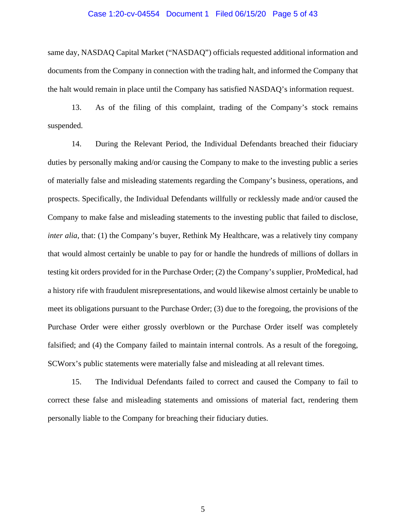#### Case 1:20-cv-04554 Document 1 Filed 06/15/20 Page 5 of 43

same day, NASDAQ Capital Market ("NASDAQ") officials requested additional information and documents from the Company in connection with the trading halt, and informed the Company that the halt would remain in place until the Company has satisfied NASDAQ's information request.

13. As of the filing of this complaint, trading of the Company's stock remains suspended.

14. During the Relevant Period, the Individual Defendants breached their fiduciary duties by personally making and/or causing the Company to make to the investing public a series of materially false and misleading statements regarding the Company's business, operations, and prospects. Specifically, the Individual Defendants willfully or recklessly made and/or caused the Company to make false and misleading statements to the investing public that failed to disclose, *inter alia*, that: (1) the Company's buyer, Rethink My Healthcare, was a relatively tiny company that would almost certainly be unable to pay for or handle the hundreds of millions of dollars in testing kit orders provided for in the Purchase Order; (2) the Company's supplier, ProMedical, had a history rife with fraudulent misrepresentations, and would likewise almost certainly be unable to meet its obligations pursuant to the Purchase Order; (3) due to the foregoing, the provisions of the Purchase Order were either grossly overblown or the Purchase Order itself was completely falsified; and (4) the Company failed to maintain internal controls. As a result of the foregoing, SCWorx's public statements were materially false and misleading at all relevant times.

15. The Individual Defendants failed to correct and caused the Company to fail to correct these false and misleading statements and omissions of material fact, rendering them personally liable to the Company for breaching their fiduciary duties.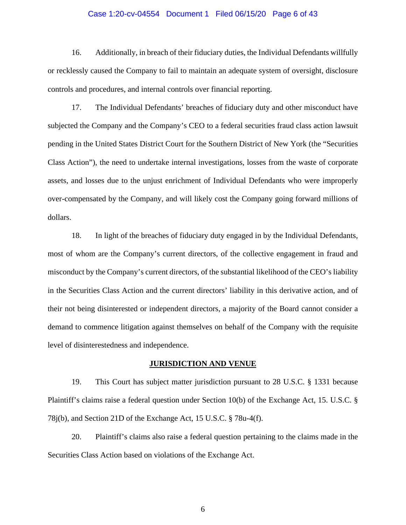#### Case 1:20-cv-04554 Document 1 Filed 06/15/20 Page 6 of 43

16. Additionally, in breach of their fiduciary duties, the Individual Defendants willfully or recklessly caused the Company to fail to maintain an adequate system of oversight, disclosure controls and procedures, and internal controls over financial reporting.

17. The Individual Defendants' breaches of fiduciary duty and other misconduct have subjected the Company and the Company's CEO to a federal securities fraud class action lawsuit pending in the United States District Court for the Southern District of New York (the "Securities Class Action"), the need to undertake internal investigations, losses from the waste of corporate assets, and losses due to the unjust enrichment of Individual Defendants who were improperly over-compensated by the Company, and will likely cost the Company going forward millions of dollars.

18. In light of the breaches of fiduciary duty engaged in by the Individual Defendants, most of whom are the Company's current directors, of the collective engagement in fraud and misconduct by the Company's current directors, of the substantial likelihood of the CEO's liability in the Securities Class Action and the current directors' liability in this derivative action, and of their not being disinterested or independent directors, a majority of the Board cannot consider a demand to commence litigation against themselves on behalf of the Company with the requisite level of disinterestedness and independence.

#### **JURISDICTION AND VENUE**

19. This Court has subject matter jurisdiction pursuant to 28 U.S.C. § 1331 because Plaintiff's claims raise a federal question under Section 10(b) of the Exchange Act, 15. U.S.C. § 78j(b), and Section 21D of the Exchange Act, 15 U.S.C. § 78u-4(f).

20. Plaintiff's claims also raise a federal question pertaining to the claims made in the Securities Class Action based on violations of the Exchange Act.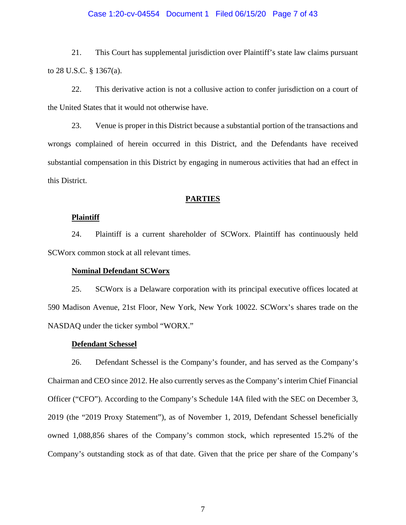#### Case 1:20-cv-04554 Document 1 Filed 06/15/20 Page 7 of 43

21. This Court has supplemental jurisdiction over Plaintiff's state law claims pursuant to 28 U.S.C. § 1367(a).

22. This derivative action is not a collusive action to confer jurisdiction on a court of the United States that it would not otherwise have.

23. Venue is proper in this District because a substantial portion of the transactions and wrongs complained of herein occurred in this District, and the Defendants have received substantial compensation in this District by engaging in numerous activities that had an effect in this District.

#### **PARTIES**

### **Plaintiff**

24. Plaintiff is a current shareholder of SCWorx. Plaintiff has continuously held SCWorx common stock at all relevant times.

#### **Nominal Defendant SCWorx**

25. SCWorx is a Delaware corporation with its principal executive offices located at 590 Madison Avenue, 21st Floor, New York, New York 10022. SCWorx's shares trade on the NASDAQ under the ticker symbol "WORX."

#### **Defendant Schessel**

26. Defendant Schessel is the Company's founder, and has served as the Company's Chairman and CEO since 2012. He also currently serves as the Company's interim Chief Financial Officer ("CFO"). According to the Company's Schedule 14A filed with the SEC on December 3, 2019 (the "2019 Proxy Statement"), as of November 1, 2019, Defendant Schessel beneficially owned 1,088,856 shares of the Company's common stock, which represented 15.2% of the Company's outstanding stock as of that date. Given that the price per share of the Company's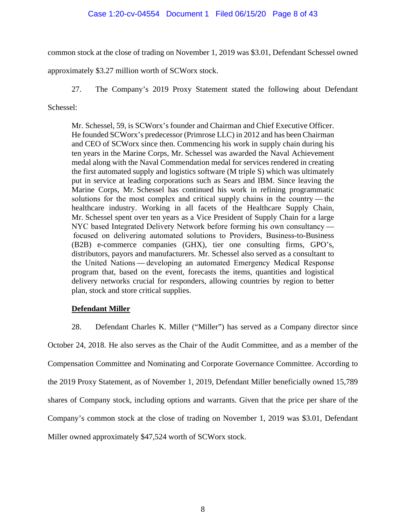## Case 1:20-cv-04554 Document 1 Filed 06/15/20 Page 8 of 43

common stock at the close of trading on November 1, 2019 was \$3.01, Defendant Schessel owned

approximately \$3.27 million worth of SCWorx stock.

27. The Company's 2019 Proxy Statement stated the following about Defendant

Schessel:

Mr. Schessel, 59, is SCWorx's founder and Chairman and Chief Executive Officer. He founded SCWorx's predecessor (Primrose LLC) in 2012 and has been Chairman and CEO of SCWorx since then. Commencing his work in supply chain during his ten years in the Marine Corps, Mr. Schessel was awarded the Naval Achievement medal along with the Naval Commendation medal for services rendered in creating the first automated supply and logistics software (M triple S) which was ultimately put in service at leading corporations such as Sears and IBM. Since leaving the Marine Corps, Mr. Schessel has continued his work in refining programmatic solutions for the most complex and critical supply chains in the country — the healthcare industry. Working in all facets of the Healthcare Supply Chain, Mr. Schessel spent over ten years as a Vice President of Supply Chain for a large NYC based Integrated Delivery Network before forming his own consultancy   focused on delivering automated solutions to Providers, Business-to-Business (B2B) e-commerce companies (GHX), tier one consulting firms, GPO's, distributors, payors and manufacturers. Mr. Schessel also served as a consultant to the United Nations — developing an automated Emergency Medical Response program that, based on the event, forecasts the items, quantities and logistical delivery networks crucial for responders, allowing countries by region to better plan, stock and store critical supplies.

## **Defendant Miller**

28. Defendant Charles K. Miller ("Miller") has served as a Company director since October 24, 2018. He also serves as the Chair of the Audit Committee, and as a member of the Compensation Committee and Nominating and Corporate Governance Committee. According to the 2019 Proxy Statement, as of November 1, 2019, Defendant Miller beneficially owned 15,789 shares of Company stock, including options and warrants. Given that the price per share of the Company's common stock at the close of trading on November 1, 2019 was \$3.01, Defendant

Miller owned approximately \$47,524 worth of SCWorx stock.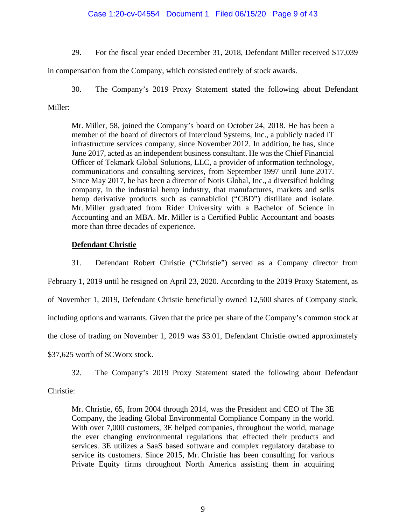## Case 1:20-cv-04554 Document 1 Filed 06/15/20 Page 9 of 43

29. For the fiscal year ended December 31, 2018, Defendant Miller received \$17,039

in compensation from the Company, which consisted entirely of stock awards.

30. The Company's 2019 Proxy Statement stated the following about Defendant

## Miller:

Mr. Miller, 58, joined the Company's board on October 24, 2018. He has been a member of the board of directors of Intercloud Systems, Inc., a publicly traded IT infrastructure services company, since November 2012. In addition, he has, since June 2017, acted as an independent business consultant. He was the Chief Financial Officer of Tekmark Global Solutions, LLC, a provider of information technology, communications and consulting services, from September 1997 until June 2017. Since May 2017, he has been a director of Notis Global, Inc., a diversified holding company, in the industrial hemp industry, that manufactures, markets and sells hemp derivative products such as cannabidiol ("CBD") distillate and isolate. Mr. Miller graduated from Rider University with a Bachelor of Science in Accounting and an MBA. Mr. Miller is a Certified Public Accountant and boasts more than three decades of experience.

## **Defendant Christie**

31. Defendant Robert Christie ("Christie") served as a Company director from February 1, 2019 until he resigned on April 23, 2020. According to the 2019 Proxy Statement, as of November 1, 2019, Defendant Christie beneficially owned 12,500 shares of Company stock, including options and warrants. Given that the price per share of the Company's common stock at the close of trading on November 1, 2019 was \$3.01, Defendant Christie owned approximately \$37,625 worth of SCWorx stock.

32. The Company's 2019 Proxy Statement stated the following about Defendant

Christie:

Mr. Christie, 65, from 2004 through 2014, was the President and CEO of The 3E Company, the leading Global Environmental Compliance Company in the world. With over 7,000 customers, 3E helped companies, throughout the world, manage the ever changing environmental regulations that effected their products and services. 3E utilizes a SaaS based software and complex regulatory database to service its customers. Since 2015, Mr. Christie has been consulting for various Private Equity firms throughout North America assisting them in acquiring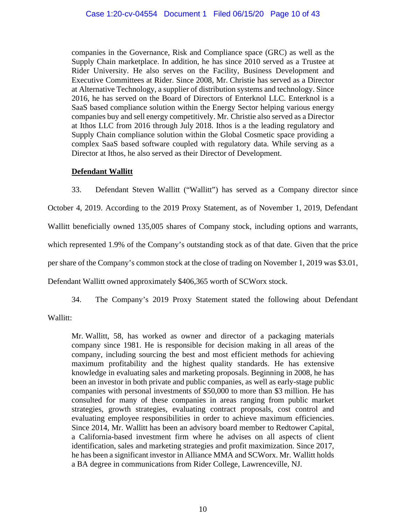companies in the Governance, Risk and Compliance space (GRC) as well as the Supply Chain marketplace. In addition, he has since 2010 served as a Trustee at Rider University. He also serves on the Facility, Business Development and Executive Committees at Rider. Since 2008, Mr. Christie has served as a Director at Alternative Technology, a supplier of distribution systems and technology. Since 2016, he has served on the Board of Directors of Enterknol LLC. Enterknol is a SaaS based compliance solution within the Energy Sector helping various energy companies buy and sell energy competitively. Mr. Christie also served as a Director at Ithos LLC from 2016 through July 2018. Ithos is a the leading regulatory and Supply Chain compliance solution within the Global Cosmetic space providing a complex SaaS based software coupled with regulatory data. While serving as a Director at Ithos, he also served as their Director of Development.

# **Defendant Wallitt**

33. Defendant Steven Wallitt ("Wallitt") has served as a Company director since October 4, 2019. According to the 2019 Proxy Statement, as of November 1, 2019, Defendant Wallitt beneficially owned 135,005 shares of Company stock, including options and warrants, which represented 1.9% of the Company's outstanding stock as of that date. Given that the price per share of the Company's common stock at the close of trading on November 1, 2019 was \$3.01,

Defendant Wallitt owned approximately \$406,365 worth of SCWorx stock.

34. The Company's 2019 Proxy Statement stated the following about Defendant

Wallitt:

Mr. Wallitt, 58, has worked as owner and director of a packaging materials company since 1981. He is responsible for decision making in all areas of the company, including sourcing the best and most efficient methods for achieving maximum profitability and the highest quality standards. He has extensive knowledge in evaluating sales and marketing proposals. Beginning in 2008, he has been an investor in both private and public companies, as well as early-stage public companies with personal investments of \$50,000 to more than \$3 million. He has consulted for many of these companies in areas ranging from public market strategies, growth strategies, evaluating contract proposals, cost control and evaluating employee responsibilities in order to achieve maximum efficiencies. Since 2014, Mr. Wallitt has been an advisory board member to Redtower Capital, a California-based investment firm where he advises on all aspects of client identification, sales and marketing strategies and profit maximization. Since 2017, he has been a significant investor in Alliance MMA and SCWorx. Mr. Wallitt holds a BA degree in communications from Rider College, Lawrenceville, NJ.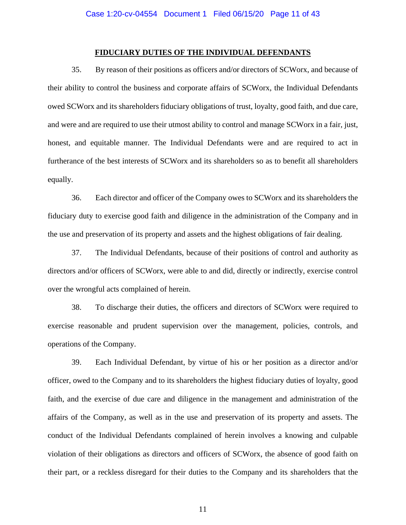#### **FIDUCIARY DUTIES OF THE INDIVIDUAL DEFENDANTS**

35. By reason of their positions as officers and/or directors of SCWorx, and because of their ability to control the business and corporate affairs of SCWorx, the Individual Defendants owed SCWorx and its shareholders fiduciary obligations of trust, loyalty, good faith, and due care, and were and are required to use their utmost ability to control and manage SCWorx in a fair, just, honest, and equitable manner. The Individual Defendants were and are required to act in furtherance of the best interests of SCWorx and its shareholders so as to benefit all shareholders equally.

36. Each director and officer of the Company owes to SCWorx and its shareholders the fiduciary duty to exercise good faith and diligence in the administration of the Company and in the use and preservation of its property and assets and the highest obligations of fair dealing.

37. The Individual Defendants, because of their positions of control and authority as directors and/or officers of SCWorx, were able to and did, directly or indirectly, exercise control over the wrongful acts complained of herein.

38. To discharge their duties, the officers and directors of SCWorx were required to exercise reasonable and prudent supervision over the management, policies, controls, and operations of the Company.

39. Each Individual Defendant, by virtue of his or her position as a director and/or officer, owed to the Company and to its shareholders the highest fiduciary duties of loyalty, good faith, and the exercise of due care and diligence in the management and administration of the affairs of the Company, as well as in the use and preservation of its property and assets. The conduct of the Individual Defendants complained of herein involves a knowing and culpable violation of their obligations as directors and officers of SCWorx, the absence of good faith on their part, or a reckless disregard for their duties to the Company and its shareholders that the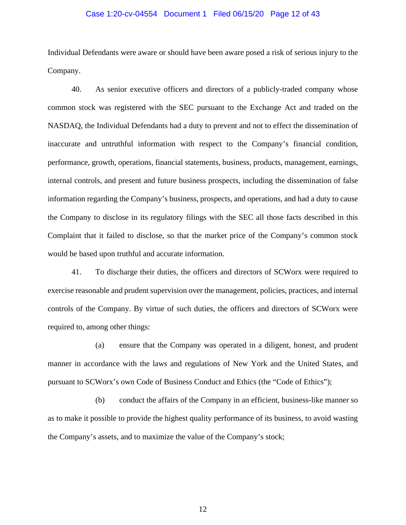#### Case 1:20-cv-04554 Document 1 Filed 06/15/20 Page 12 of 43

Individual Defendants were aware or should have been aware posed a risk of serious injury to the Company.

40. As senior executive officers and directors of a publicly-traded company whose common stock was registered with the SEC pursuant to the Exchange Act and traded on the NASDAQ, the Individual Defendants had a duty to prevent and not to effect the dissemination of inaccurate and untruthful information with respect to the Company's financial condition, performance, growth, operations, financial statements, business, products, management, earnings, internal controls, and present and future business prospects, including the dissemination of false information regarding the Company's business, prospects, and operations, and had a duty to cause the Company to disclose in its regulatory filings with the SEC all those facts described in this Complaint that it failed to disclose, so that the market price of the Company's common stock would be based upon truthful and accurate information.

41. To discharge their duties, the officers and directors of SCWorx were required to exercise reasonable and prudent supervision over the management, policies, practices, and internal controls of the Company. By virtue of such duties, the officers and directors of SCWorx were required to, among other things:

(a) ensure that the Company was operated in a diligent, honest, and prudent manner in accordance with the laws and regulations of New York and the United States, and pursuant to SCWorx's own Code of Business Conduct and Ethics (the "Code of Ethics");

(b) conduct the affairs of the Company in an efficient, business-like manner so as to make it possible to provide the highest quality performance of its business, to avoid wasting the Company's assets, and to maximize the value of the Company's stock;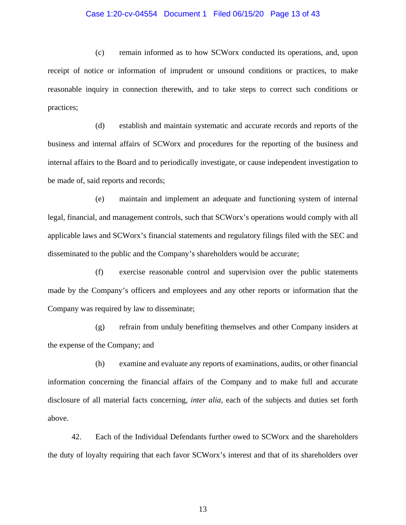#### Case 1:20-cv-04554 Document 1 Filed 06/15/20 Page 13 of 43

(c) remain informed as to how SCWorx conducted its operations, and, upon receipt of notice or information of imprudent or unsound conditions or practices, to make reasonable inquiry in connection therewith, and to take steps to correct such conditions or practices;

(d) establish and maintain systematic and accurate records and reports of the business and internal affairs of SCWorx and procedures for the reporting of the business and internal affairs to the Board and to periodically investigate, or cause independent investigation to be made of, said reports and records;

(e) maintain and implement an adequate and functioning system of internal legal, financial, and management controls, such that SCWorx's operations would comply with all applicable laws and SCWorx's financial statements and regulatory filings filed with the SEC and disseminated to the public and the Company's shareholders would be accurate;

(f) exercise reasonable control and supervision over the public statements made by the Company's officers and employees and any other reports or information that the Company was required by law to disseminate;

(g) refrain from unduly benefiting themselves and other Company insiders at the expense of the Company; and

(h) examine and evaluate any reports of examinations, audits, or other financial information concerning the financial affairs of the Company and to make full and accurate disclosure of all material facts concerning, *inter alia*, each of the subjects and duties set forth above.

42. Each of the Individual Defendants further owed to SCWorx and the shareholders the duty of loyalty requiring that each favor SCWorx's interest and that of its shareholders over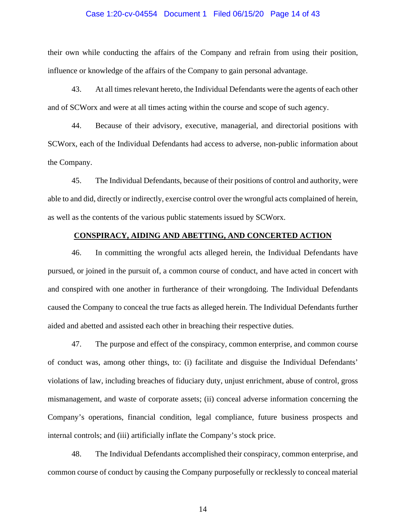#### Case 1:20-cv-04554 Document 1 Filed 06/15/20 Page 14 of 43

their own while conducting the affairs of the Company and refrain from using their position, influence or knowledge of the affairs of the Company to gain personal advantage.

43. At all times relevant hereto, the Individual Defendants were the agents of each other and of SCWorx and were at all times acting within the course and scope of such agency.

44. Because of their advisory, executive, managerial, and directorial positions with SCWorx, each of the Individual Defendants had access to adverse, non-public information about the Company.

45. The Individual Defendants, because of their positions of control and authority, were able to and did, directly or indirectly, exercise control over the wrongful acts complained of herein, as well as the contents of the various public statements issued by SCWorx.

### **CONSPIRACY, AIDING AND ABETTING, AND CONCERTED ACTION**

46. In committing the wrongful acts alleged herein, the Individual Defendants have pursued, or joined in the pursuit of, a common course of conduct, and have acted in concert with and conspired with one another in furtherance of their wrongdoing. The Individual Defendants caused the Company to conceal the true facts as alleged herein. The Individual Defendants further aided and abetted and assisted each other in breaching their respective duties.

47. The purpose and effect of the conspiracy, common enterprise, and common course of conduct was, among other things, to: (i) facilitate and disguise the Individual Defendants' violations of law, including breaches of fiduciary duty, unjust enrichment, abuse of control, gross mismanagement, and waste of corporate assets; (ii) conceal adverse information concerning the Company's operations, financial condition, legal compliance, future business prospects and internal controls; and (iii) artificially inflate the Company's stock price.

48. The Individual Defendants accomplished their conspiracy, common enterprise, and common course of conduct by causing the Company purposefully or recklessly to conceal material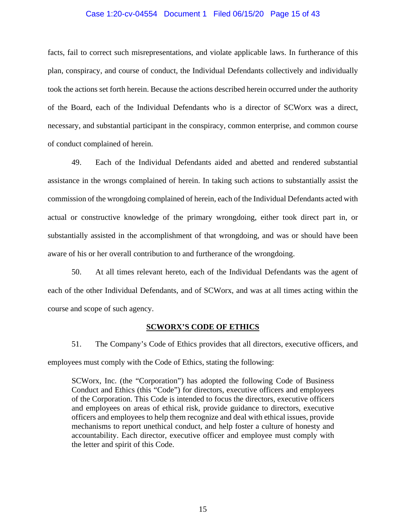### Case 1:20-cv-04554 Document 1 Filed 06/15/20 Page 15 of 43

facts, fail to correct such misrepresentations, and violate applicable laws. In furtherance of this plan, conspiracy, and course of conduct, the Individual Defendants collectively and individually took the actions set forth herein. Because the actions described herein occurred under the authority of the Board, each of the Individual Defendants who is a director of SCWorx was a direct, necessary, and substantial participant in the conspiracy, common enterprise, and common course of conduct complained of herein.

49. Each of the Individual Defendants aided and abetted and rendered substantial assistance in the wrongs complained of herein. In taking such actions to substantially assist the commission of the wrongdoing complained of herein, each of the Individual Defendants acted with actual or constructive knowledge of the primary wrongdoing, either took direct part in, or substantially assisted in the accomplishment of that wrongdoing, and was or should have been aware of his or her overall contribution to and furtherance of the wrongdoing.

50. At all times relevant hereto, each of the Individual Defendants was the agent of each of the other Individual Defendants, and of SCWorx, and was at all times acting within the course and scope of such agency.

#### **SCWORX'S CODE OF ETHICS**

51. The Company's Code of Ethics provides that all directors, executive officers, and employees must comply with the Code of Ethics, stating the following:

SCWorx, Inc. (the "Corporation") has adopted the following Code of Business Conduct and Ethics (this "Code") for directors, executive officers and employees of the Corporation. This Code is intended to focus the directors, executive officers and employees on areas of ethical risk, provide guidance to directors, executive officers and employees to help them recognize and deal with ethical issues, provide mechanisms to report unethical conduct, and help foster a culture of honesty and accountability. Each director, executive officer and employee must comply with the letter and spirit of this Code.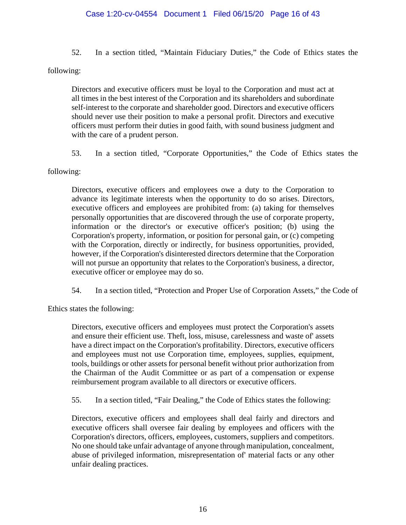## Case 1:20-cv-04554 Document 1 Filed 06/15/20 Page 16 of 43

52. In a section titled, "Maintain Fiduciary Duties," the Code of Ethics states the

following:

Directors and executive officers must be loyal to the Corporation and must act at all times in the best interest of the Corporation and its shareholders and subordinate self-interest to the corporate and shareholder good. Directors and executive officers should never use their position to make a personal profit. Directors and executive officers must perform their duties in good faith, with sound business judgment and with the care of a prudent person.

53. In a section titled, "Corporate Opportunities," the Code of Ethics states the

following:

Directors, executive officers and employees owe a duty to the Corporation to advance its legitimate interests when the opportunity to do so arises. Directors, executive officers and employees are prohibited from: (a) taking for themselves personally opportunities that are discovered through the use of corporate property, information or the director's or executive officer's position; (b) using the Corporation's property, information, or position for personal gain, or (c) competing with the Corporation, directly or indirectly, for business opportunities, provided, however, if the Corporation's disinterested directors determine that the Corporation will not pursue an opportunity that relates to the Corporation's business, a director, executive officer or employee may do so.

54. In a section titled, "Protection and Proper Use of Corporation Assets," the Code of

Ethics states the following:

Directors, executive officers and employees must protect the Corporation's assets and ensure their efficient use. Theft, loss, misuse, carelessness and waste of' assets have a direct impact on the Corporation's profitability. Directors, executive officers and employees must not use Corporation time, employees, supplies, equipment, tools, buildings or other assets for personal benefit without prior authorization from the Chairman of the Audit Committee or as part of a compensation or expense reimbursement program available to all directors or executive officers.

55. In a section titled, "Fair Dealing," the Code of Ethics states the following:

Directors, executive officers and employees shall deal fairly and directors and executive officers shall oversee fair dealing by employees and officers with the Corporation's directors, officers, employees, customers, suppliers and competitors. No one should take unfair advantage of anyone through manipulation, concealment, abuse of privileged information, misrepresentation of' material facts or any other unfair dealing practices.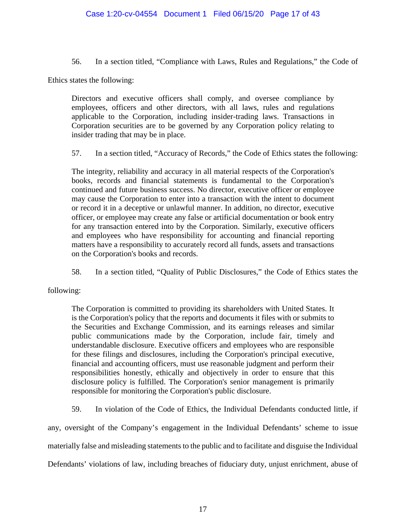56. In a section titled, "Compliance with Laws, Rules and Regulations," the Code of

Ethics states the following:

Directors and executive officers shall comply, and oversee compliance by employees, officers and other directors, with all laws, rules and regulations applicable to the Corporation, including insider-trading laws. Transactions in Corporation securities are to be governed by any Corporation policy relating to insider trading that may be in place.

57. In a section titled, "Accuracy of Records," the Code of Ethics states the following:

The integrity, reliability and accuracy in all material respects of the Corporation's books, records and financial statements is fundamental to the Corporation's continued and future business success. No director, executive officer or employee may cause the Corporation to enter into a transaction with the intent to document or record it in a deceptive or unlawful manner. In addition, no director, executive officer, or employee may create any false or artificial documentation or book entry for any transaction entered into by the Corporation. Similarly, executive officers and employees who have responsibility for accounting and financial reporting matters have a responsibility to accurately record all funds, assets and transactions on the Corporation's books and records.

58. In a section titled, "Quality of Public Disclosures," the Code of Ethics states the

following:

The Corporation is committed to providing its shareholders with United States. It is the Corporation's policy that the reports and documents it files with or submits to the Securities and Exchange Commission, and its earnings releases and similar public communications made by the Corporation, include fair, timely and understandable disclosure. Executive officers and employees who are responsible for these filings and disclosures, including the Corporation's principal executive, financial and accounting officers, must use reasonable judgment and perform their responsibilities honestly, ethically and objectively in order to ensure that this disclosure policy is fulfilled. The Corporation's senior management is primarily responsible for monitoring the Corporation's public disclosure.

59. In violation of the Code of Ethics, the Individual Defendants conducted little, if

any, oversight of the Company's engagement in the Individual Defendants' scheme to issue materially false and misleading statements to the public and to facilitate and disguise the Individual Defendants' violations of law, including breaches of fiduciary duty, unjust enrichment, abuse of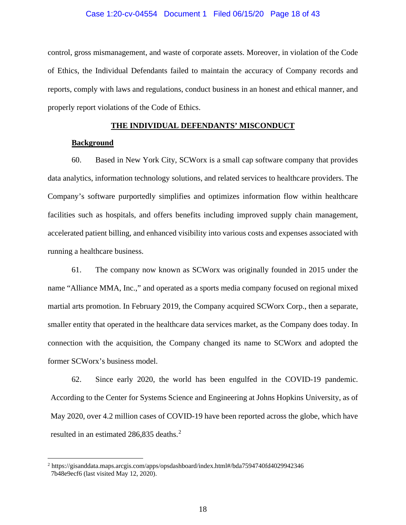#### Case 1:20-cv-04554 Document 1 Filed 06/15/20 Page 18 of 43

control, gross mismanagement, and waste of corporate assets. Moreover, in violation of the Code of Ethics, the Individual Defendants failed to maintain the accuracy of Company records and reports, comply with laws and regulations, conduct business in an honest and ethical manner, and properly report violations of the Code of Ethics.

### **THE INDIVIDUAL DEFENDANTS' MISCONDUCT**

#### **Background**

60. Based in New York City, SCWorx is a small cap software company that provides data analytics, information technology solutions, and related services to healthcare providers. The Company's software purportedly simplifies and optimizes information flow within healthcare facilities such as hospitals, and offers benefits including improved supply chain management, accelerated patient billing, and enhanced visibility into various costs and expenses associated with running a healthcare business.

61. The company now known as SCWorx was originally founded in 2015 under the name "Alliance MMA, Inc.," and operated as a sports media company focused on regional mixed martial arts promotion. In February 2019, the Company acquired SCWorx Corp., then a separate, smaller entity that operated in the healthcare data services market, as the Company does today. In connection with the acquisition, the Company changed its name to SCWorx and adopted the former SCWorx's business model.

62. Since early 2020, the world has been engulfed in the COVID-19 pandemic. According to the Center for Systems Science and Engineering at Johns Hopkins University, as of May 2020, over 4.2 million cases of COVID-19 have been reported across the globe, which have resulted in an estimated [2](#page-17-0)86,835 deaths.<sup>2</sup>

<span id="page-17-0"></span><sup>2</sup> https://gisanddata.maps.arcgis.com/apps/opsdashboard/index.html#/bda7594740fd4029942346 7b48e9ecf6 (last visited May 12, 2020).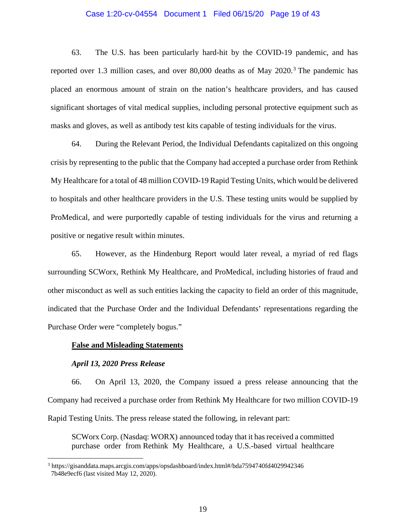#### Case 1:20-cv-04554 Document 1 Filed 06/15/20 Page 19 of 43

63. The U.S. has been particularly hard-hit by the COVID-19 pandemic, and has reported over 1.[3](#page-18-0) million cases, and over  $80,000$  deaths as of May  $2020$ .<sup>3</sup> The pandemic has placed an enormous amount of strain on the nation's healthcare providers, and has caused significant shortages of vital medical supplies, including personal protective equipment such as masks and gloves, as well as antibody test kits capable of testing individuals for the virus.

64. During the Relevant Period, the Individual Defendants capitalized on this ongoing crisis by representing to the public that the Company had accepted a purchase order from Rethink My Healthcare for a total of 48 million COVID-19 Rapid Testing Units, which would be delivered to hospitals and other healthcare providers in the U.S. These testing units would be supplied by ProMedical, and were purportedly capable of testing individuals for the virus and returning a positive or negative result within minutes.

65. However, as the Hindenburg Report would later reveal, a myriad of red flags surrounding SCWorx, Rethink My Healthcare, and ProMedical, including histories of fraud and other misconduct as well as such entities lacking the capacity to field an order of this magnitude, indicated that the Purchase Order and the Individual Defendants' representations regarding the Purchase Order were "completely bogus."

#### **False and Misleading Statements**

### *April 13, 2020 Press Release*

66. On April 13, 2020, the Company issued a press release announcing that the Company had received a purchase order from Rethink My Healthcare for two million COVID-19 Rapid Testing Units. The press release stated the following, in relevant part:

SCWorx Corp. (Nasdaq: WORX) announced today that it has received a committed purchase order from Rethink My Healthcare, a U.S.-based virtual healthcare

<span id="page-18-0"></span><sup>3</sup> https://gisanddata.maps.arcgis.com/apps/opsdashboard/index.html#/bda7594740fd4029942346 7b48e9ecf6 (last visited May 12, 2020).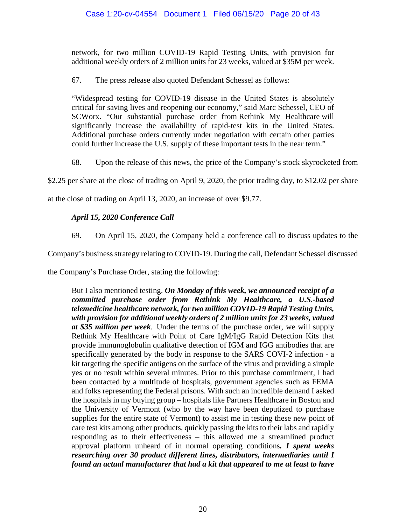network, for two million COVID-19 Rapid Testing Units, with provision for additional weekly orders of 2 million units for 23 weeks, valued at \$35M per week.

67. The press release also quoted Defendant Schessel as follows:

"Widespread testing for COVID-19 disease in the United States is absolutely critical for saving lives and reopening our economy," said Marc Schessel, CEO of SCWorx. "Our substantial purchase order from Rethink My Healthcare will significantly increase the availability of rapid-test kits in the United States. Additional purchase orders currently under negotiation with certain other parties could further increase the U.S. supply of these important tests in the near term."

68. Upon the release of this news, the price of the Company's stock skyrocketed from

\$2.25 per share at the close of trading on April 9, 2020, the prior trading day, to \$12.02 per share

at the close of trading on April 13, 2020, an increase of over \$9.77.

# *April 15, 2020 Conference Call*

69. On April 15, 2020, the Company held a conference call to discuss updates to the

Company's business strategy relating to COVID-19. During the call, Defendant Schessel discussed

the Company's Purchase Order, stating the following:

But I also mentioned testing. *On Monday of this week, we announced receipt of a committed purchase order from Rethink My Healthcare, a U.S.-based telemedicine healthcare network, for two million COVID-19 Rapid Testing Units, with provision for additional weekly orders of 2 million units for 23 weeks, valued at \$35 million per week*. Under the terms of the purchase order, we will supply Rethink My Healthcare with Point of Care IgM/IgG Rapid Detection Kits that provide immunoglobulin qualitative detection of IGM and IGG antibodies that are specifically generated by the body in response to the SARS COVI-2 infection - a kit targeting the specific antigens on the surface of the virus and providing a simple yes or no result within several minutes. Prior to this purchase commitment, I had been contacted by a multitude of hospitals, government agencies such as FEMA and folks representing the Federal prisons. With such an incredible demand I asked the hospitals in my buying group – hospitals like Partners Healthcare in Boston and the University of Vermont (who by the way have been deputized to purchase supplies for the entire state of Vermont) to assist me in testing these new point of care test kits among other products, quickly passing the kits to their labs and rapidly responding as to their effectiveness – this allowed me a streamlined product approval platform unheard of in normal operating conditions*. I spent weeks researching over 30 product different lines, distributors, intermediaries until I found an actual manufacturer that had a kit that appeared to me at least to have*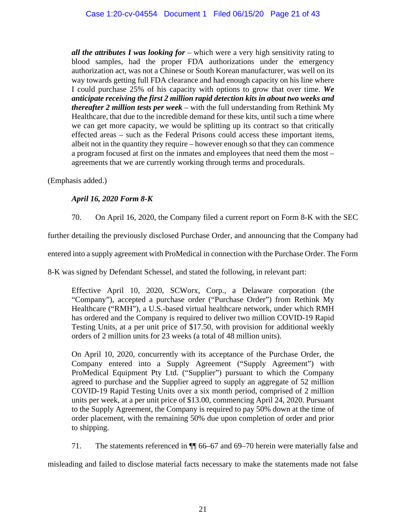*all the attributes I was looking for* – which were a very high sensitivity rating to blood samples, had the proper FDA authorizations under the emergency authorization act, was not a Chinese or South Korean manufacturer, was well on its way towards getting full FDA clearance and had enough capacity on his line where I could purchase 25% of his capacity with options to grow that over time. *We anticipate receiving the first 2 million rapid detection kits in about two weeks and thereafter 2 million tests per week* – with the full understanding from Rethink My Healthcare, that due to the incredible demand for these kits, until such a time where we can get more capacity, we would be splitting up its contract so that critically effected areas – such as the Federal Prisons could access these important items, albeit not in the quantity they require – however enough so that they can commence a program focused at first on the inmates and employees that need them the most – agreements that we are currently working through terms and procedurals.

(Emphasis added.)

# *April 16, 2020 Form 8-K*

70. On April 16, 2020, the Company filed a current report on Form 8-K with the SEC

further detailing the previously disclosed Purchase Order, and announcing that the Company had

entered into a supply agreement with ProMedical in connection with the Purchase Order. The Form

8-K was signed by Defendant Schessel, and stated the following, in relevant part:

Effective April 10, 2020, SCWorx, Corp., a Delaware corporation (the "Company"), accepted a purchase order ("Purchase Order") from Rethink My Healthcare ("RMH"), a U.S.-based virtual healthcare network, under which RMH has ordered and the Company is required to deliver two million COVID-19 Rapid Testing Units, at a per unit price of \$17.50, with provision for additional weekly orders of 2 million units for 23 weeks (a total of 48 million units).

On April 10, 2020, concurrently with its acceptance of the Purchase Order, the Company entered into a Supply Agreement ("Supply Agreement") with ProMedical Equipment Pty Ltd. ("Supplier") pursuant to which the Company agreed to purchase and the Supplier agreed to supply an aggregate of 52 million COVID-19 Rapid Testing Units over a six month period, comprised of 2 million units per week, at a per unit price of \$13.00, commencing April 24, 2020. Pursuant to the Supply Agreement, the Company is required to pay 50% down at the time of order placement, with the remaining 50% due upon completion of order and prior to shipping.

71. The statements referenced in ¶¶ 66–67 and 69–70 herein were materially false and

misleading and failed to disclose material facts necessary to make the statements made not false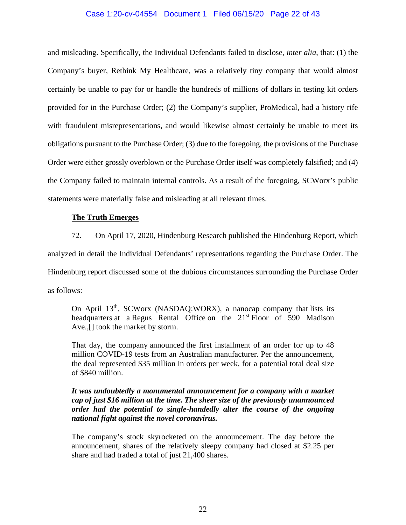### Case 1:20-cv-04554 Document 1 Filed 06/15/20 Page 22 of 43

and misleading. Specifically, the Individual Defendants failed to disclose, *inter alia*, that: (1) the Company's buyer, Rethink My Healthcare, was a relatively tiny company that would almost certainly be unable to pay for or handle the hundreds of millions of dollars in testing kit orders provided for in the Purchase Order; (2) the Company's supplier, ProMedical, had a history rife with fraudulent misrepresentations, and would likewise almost certainly be unable to meet its obligations pursuant to the Purchase Order; (3) due to the foregoing, the provisions of the Purchase Order were either grossly overblown or the Purchase Order itself was completely falsified; and (4) the Company failed to maintain internal controls. As a result of the foregoing, SCWorx's public statements were materially false and misleading at all relevant times.

#### **The Truth Emerges**

72. On April 17, 2020, Hindenburg Research published the Hindenburg Report, which analyzed in detail the Individual Defendants' representations regarding the Purchase Order. The Hindenburg report discussed some of the dubious circumstances surrounding the Purchase Order as follows:

On April 13<sup>th</sup>, SCWorx (NASDAQ:WORX), a nanocap company that lists its headquarters at a Regus Rental Office on the 21<sup>st</sup> Floor of 590 Madison Ave.,[] took the market by storm.

That day, the company announced the first installment of an order for up to 48 million COVID-19 tests from an Australian manufacturer. Per the announcement, the deal represented \$35 million in orders per week, for a potential total deal size of \$840 million.

## *It was undoubtedly a monumental announcement for a company with a market cap of just \$16 million at the time. The sheer size of the previously unannounced order had the potential to single-handedly alter the course of the ongoing national fight against the novel coronavirus.*

The company's stock skyrocketed on the announcement. The day before the announcement, shares of the relatively sleepy company had closed at \$2.25 per share and had traded a total of just 21,400 shares.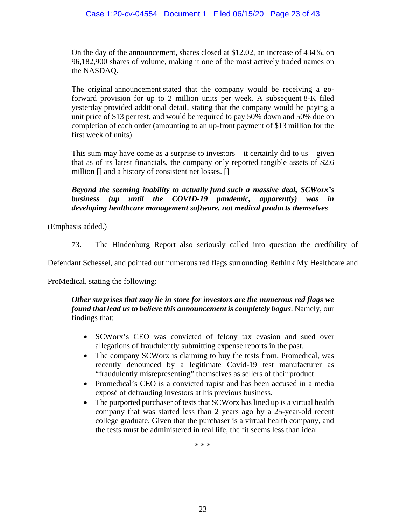On the day of the announcement, shares closed at \$12.02, an increase of 434%, on 96,182,900 shares of volume, making it one of the most actively traded names on the NASDAQ.

The original announcement stated that the company would be receiving a goforward provision for up to 2 million units per week. A subsequent 8-K filed yesterday provided additional detail, stating that the company would be paying a unit price of \$13 per test, and would be required to pay 50% down and 50% due on completion of each order (amounting to an up-front payment of \$13 million for the first week of units).

This sum may have come as a surprise to investors  $-$  it certainly did to us  $-$  given that as of its latest financials, the company only reported tangible assets of \$2.6 million [] and a history of consistent net losses. []

*Beyond the seeming inability to actually fund such a massive deal, SCWorx's business (up until the COVID-19 pandemic, apparently) was in developing healthcare management software, not medical products themselves*.

(Emphasis added.)

73. The Hindenburg Report also seriously called into question the credibility of

Defendant Schessel, and pointed out numerous red flags surrounding Rethink My Healthcare and

ProMedical, stating the following:

## *Other surprises that may lie in store for investors are the numerous red flags we found that lead us to believe this announcement is completely bogus*. Namely, our findings that:

- SCWorx's CEO was convicted of felony tax evasion and sued over allegations of fraudulently submitting expense reports in the past.
- The company SCWorx is claiming to buy the tests from, Promedical, was recently denounced by a legitimate Covid-19 test manufacturer as "fraudulently misrepresenting" themselves as sellers of their product.
- Promedical's CEO is a convicted rapist and has been accused in a media exposé of defrauding investors at his previous business.
- The purported purchaser of tests that SCWorx has lined up is a virtual health company that was started less than 2 years ago by a 25-year-old recent college graduate. Given that the purchaser is a virtual health company, and the tests must be administered in real life, the fit seems less than ideal.

\* \* \*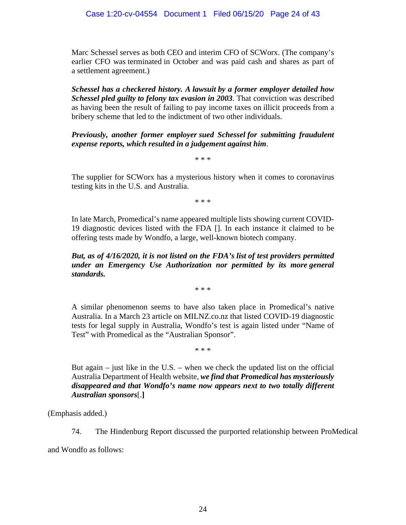Marc Schessel serves as both CEO and interim CFO of SCWorx. (The company's earlier CFO was terminated in October and was paid cash and shares as part of a settlement agreement.)

*Schessel has a checkered history. A lawsuit by a former employer detailed how Schessel pled guilty to felony tax evasion in 2003*. That conviction was described as having been the result of failing to pay income taxes on illicit proceeds from a bribery scheme that led to the indictment of two other individuals.

*Previously, another former employer sued Schessel for submitting fraudulent expense reports, which resulted in a judgement against him*.

\* \* \*

The supplier for SCWorx has a mysterious history when it comes to coronavirus testing kits in the U.S. and Australia.

\* \* \*

In late March, Promedical's name appeared multiple lists showing current COVID-19 diagnostic devices listed with the FDA []. In each instance it claimed to be offering tests made by Wondfo, a large, well-known biotech company.

*But, as of 4/16/2020, it is not listed on the FDA's list of test providers permitted under an Emergency Use Authorization nor permitted by its more general standards.*

\* \* \*

A similar phenomenon seems to have also taken place in Promedical's native Australia. In a March 23 article on MILNZ.co.nz that listed COVID-19 diagnostic tests for legal supply in Australia, Wondfo's test is again listed under "Name of Test" with Promedical as the "Australian Sponsor".

\* \* \*

But again – just like in the U.S. – when we check the updated list on the official Australia Department of Health website, *we find that Promedical has mysteriously disappeared and that Wondfo's name now appears next to two totally different Australian sponsors*[.**]**

(Emphasis added.)

74. The Hindenburg Report discussed the purported relationship between ProMedical

and Wondfo as follows: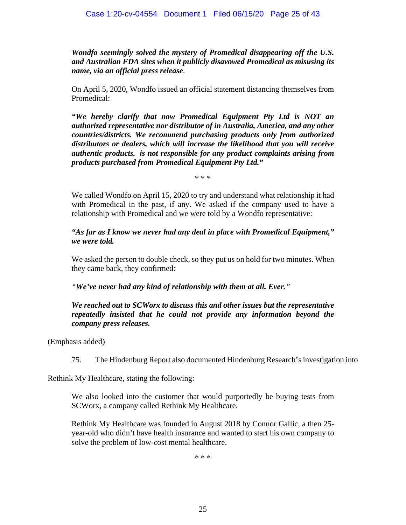*Wondfo seemingly solved the mystery of Promedical disappearing off the U.S. and Australian FDA sites when it publicly disavowed Promedical as misusing its name, via an official press release*.

On April 5, 2020, Wondfo issued an official statement distancing themselves from Promedical:

*"We hereby clarify that now Promedical Equipment Pty Ltd is NOT an authorized representative nor distributor of in Australia, America, and any other countries/districts. We recommend purchasing products only from authorized distributors or dealers, which will increase the likelihood that you will receive authentic products. is not responsible for any product complaints arising from products purchased from Promedical Equipment Pty Ltd."*

\* \* \*

We called Wondfo on April 15, 2020 to try and understand what relationship it had with Promedical in the past, if any. We asked if the company used to have a relationship with Promedical and we were told by a Wondfo representative:

*"As far as I know we never had any deal in place with Promedical Equipment," we were told.*

We asked the person to double check, so they put us on hold for two minutes. When they came back, they confirmed:

*"We've never had any kind of relationship with them at all. Ever."*

*We reached out to SCWorx to discuss this and other issues but the representative repeatedly insisted that he could not provide any information beyond the company press releases.*

(Emphasis added)

75. The Hindenburg Report also documented Hindenburg Research's investigation into

Rethink My Healthcare, stating the following:

We also looked into the customer that would purportedly be buying tests from SCWorx, a company called Rethink My Healthcare.

Rethink My Healthcare was founded in August 2018 by Connor Gallic, a then 25 year-old who didn't have health insurance and wanted to start his own company to solve the problem of low-cost mental healthcare.

\* \* \*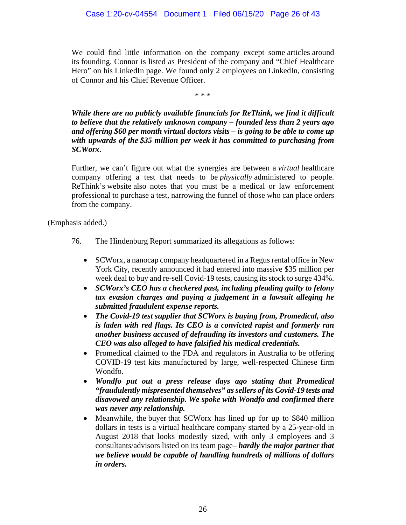We could find little information on the company except some articles around its founding. Connor is listed as President of the company and "Chief Healthcare Hero" on his LinkedIn page. We found only 2 employees on LinkedIn, consisting of Connor and his Chief Revenue Officer.

\* \* \*

*While there are no publicly available financials for ReThink, we find it difficult to believe that the relatively unknown company – founded less than 2 years ago and offering \$60 per month virtual doctors visits – is going to be able to come up with upwards of the \$35 million per week it has committed to purchasing from SCWorx*.

Further, we can't figure out what the synergies are between a *virtual* healthcare company offering a test that needs to be *physically* administered to people. ReThink's website also notes that you must be a medical or law enforcement professional to purchase a test, narrowing the funnel of those who can place orders from the company.

(Emphasis added.)

- 76. The Hindenburg Report summarized its allegations as follows:
	- SCWorx, a nanocap company headquartered in a Regus rental office in New York City, recently announced it had entered into massive \$35 million per week deal to buy and re-sell Covid-19 tests, causing its stock to surge 434%.
	- *SCWorx's CEO has a checkered past, including pleading guilty to felony tax evasion charges and paying a judgement in a lawsuit alleging he submitted fraudulent expense reports.*
	- *The Covid-19 test supplier that SCWorx is buying from, Promedical, also is laden with red flags. Its CEO is a convicted rapist and formerly ran another business accused of defrauding its investors and customers. The CEO was also alleged to have falsified his medical credentials.*
	- Promedical claimed to the FDA and regulators in Australia to be offering COVID-19 test kits manufactured by large, well-respected Chinese firm Wondfo.
	- *Wondfo put out a press release days ago stating that Promedical "fraudulently mispresented themselves" as sellers of its Covid-19 tests and disavowed any relationship. We spoke with Wondfo and confirmed there was never any relationship.*
	- Meanwhile, the buyer that SCWorx has lined up for up to \$840 million dollars in tests is a virtual healthcare company started by a 25-year-old in August 2018 that looks modestly sized, with only 3 employees and 3 consultants/advisors listed on its team page– *hardly the major partner that we believe would be capable of handling hundreds of millions of dollars in orders.*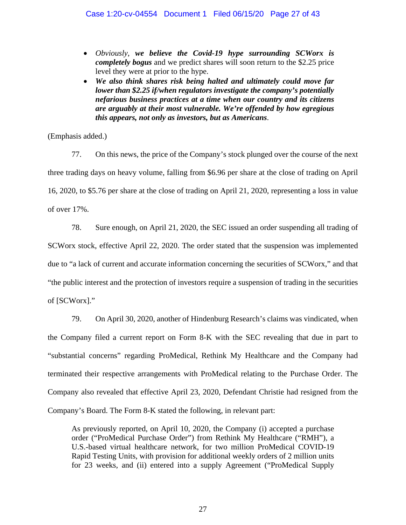- *Obviously*, *we believe the Covid-19 hype surrounding SCWorx is completely bogus* and we predict shares will soon return to the \$2.25 price level they were at prior to the hype.
- *We also think shares risk being halted and ultimately could move far lower than \$2.25 if/when regulators investigate the company's potentially nefarious business practices at a time when our country and its citizens are arguably at their most vulnerable. We're offended by how egregious this appears, not only as investors, but as Americans*.

(Emphasis added.)

77. On this news, the price of the Company's stock plunged over the course of the next three trading days on heavy volume, falling from \$6.96 per share at the close of trading on April 16, 2020, to \$5.76 per share at the close of trading on April 21, 2020, representing a loss in value of over 17%.

78. Sure enough, on April 21, 2020, the SEC issued an order suspending all trading of SCWorx stock, effective April 22, 2020. The order stated that the suspension was implemented due to "a lack of current and accurate information concerning the securities of SCWorx," and that "the public interest and the protection of investors require a suspension of trading in the securities of [SCWorx]."

79. On April 30, 2020, another of Hindenburg Research's claims was vindicated, when the Company filed a current report on Form 8-K with the SEC revealing that due in part to "substantial concerns" regarding ProMedical, Rethink My Healthcare and the Company had terminated their respective arrangements with ProMedical relating to the Purchase Order. The Company also revealed that effective April 23, 2020, Defendant Christie had resigned from the Company's Board. The Form 8-K stated the following, in relevant part:

As previously reported, on April 10, 2020, the Company (i) accepted a purchase order ("ProMedical Purchase Order") from Rethink My Healthcare ("RMH"), a U.S.-based virtual healthcare network, for two million ProMedical COVID-19 Rapid Testing Units, with provision for additional weekly orders of 2 million units for 23 weeks, and (ii) entered into a supply Agreement ("ProMedical Supply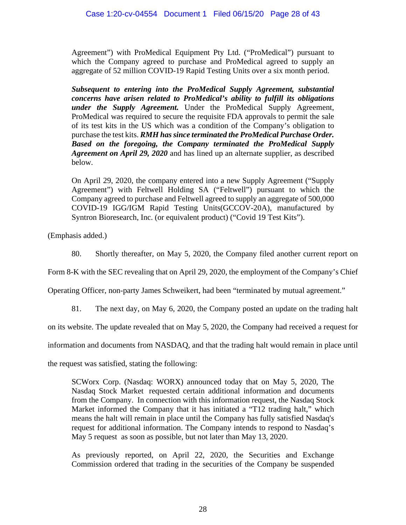Agreement") with ProMedical Equipment Pty Ltd. ("ProMedical") pursuant to which the Company agreed to purchase and ProMedical agreed to supply an aggregate of 52 million COVID-19 Rapid Testing Units over a six month period.

*Subsequent to entering into the ProMedical Supply Agreement, substantial concerns have arisen related to ProMedical's ability to fulfill its obligations under the Supply Agreement.* Under the ProMedical Supply Agreement, ProMedical was required to secure the requisite FDA approvals to permit the sale of its test kits in the US which was a condition of the Company's obligation to purchase the test kits. *RMH has since terminated the ProMedical Purchase Order. Based on the foregoing, the Company terminated the ProMedical Supply Agreement on April 29, 2020* and has lined up an alternate supplier, as described below.

On April 29, 2020, the company entered into a new Supply Agreement ("Supply Agreement") with Feltwell Holding SA ("Feltwell") pursuant to which the Company agreed to purchase and Feltwell agreed to supply an aggregate of 500,000 COVID-19 IGG/IGM Rapid Testing Units(GCCOV-20A), manufactured by Syntron Bioresearch, Inc. (or equivalent product) ("Covid 19 Test Kits").

(Emphasis added.)

80. Shortly thereafter, on May 5, 2020, the Company filed another current report on

Form 8-K with the SEC revealing that on April 29, 2020, the employment of the Company's Chief

Operating Officer, non-party James Schweikert, had been "terminated by mutual agreement."

81. The next day, on May 6, 2020, the Company posted an update on the trading halt

on its website. The update revealed that on May 5, 2020, the Company had received a request for

information and documents from NASDAQ, and that the trading halt would remain in place until

the request was satisfied, stating the following:

SCWorx Corp. (Nasdaq: WORX) announced today that on May 5, 2020, The Nasdaq Stock Market requested certain additional information and documents from the Company. In connection with this information request, the Nasdaq Stock Market informed the Company that it has initiated a "T12 trading halt," which means the halt will remain in place until the Company has fully satisfied Nasdaq's request for additional information. The Company intends to respond to Nasdaq's May 5 request as soon as possible, but not later than May 13, 2020.

As previously reported, on April 22, 2020, the Securities and Exchange Commission ordered that trading in the securities of the Company be suspended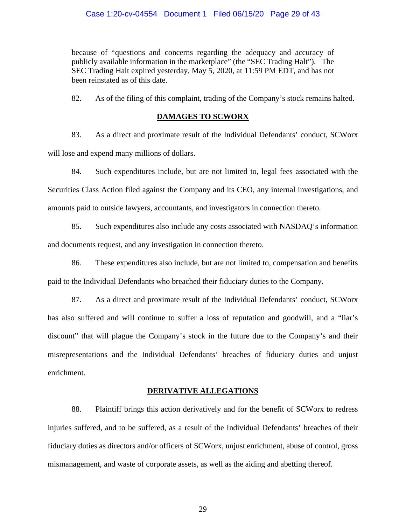because of "questions and concerns regarding the adequacy and accuracy of publicly available information in the marketplace" (the "SEC Trading Halt"). The SEC Trading Halt expired yesterday, May 5, 2020, at 11:59 PM EDT, and has not been reinstated as of this date.

82. As of the filing of this complaint, trading of the Company's stock remains halted.

# **DAMAGES TO SCWORX**

83. As a direct and proximate result of the Individual Defendants' conduct, SCWorx will lose and expend many millions of dollars.

84. Such expenditures include, but are not limited to, legal fees associated with the Securities Class Action filed against the Company and its CEO, any internal investigations, and amounts paid to outside lawyers, accountants, and investigators in connection thereto.

85. Such expenditures also include any costs associated with NASDAQ's information and documents request, and any investigation in connection thereto.

86. These expenditures also include, but are not limited to, compensation and benefits paid to the Individual Defendants who breached their fiduciary duties to the Company.

87. As a direct and proximate result of the Individual Defendants' conduct, SCWorx has also suffered and will continue to suffer a loss of reputation and goodwill, and a "liar's discount" that will plague the Company's stock in the future due to the Company's and their misrepresentations and the Individual Defendants' breaches of fiduciary duties and unjust enrichment.

# **DERIVATIVE ALLEGATIONS**

88. Plaintiff brings this action derivatively and for the benefit of SCWorx to redress injuries suffered, and to be suffered, as a result of the Individual Defendants' breaches of their fiduciary duties as directors and/or officers of SCWorx, unjust enrichment, abuse of control, gross mismanagement, and waste of corporate assets, as well as the aiding and abetting thereof.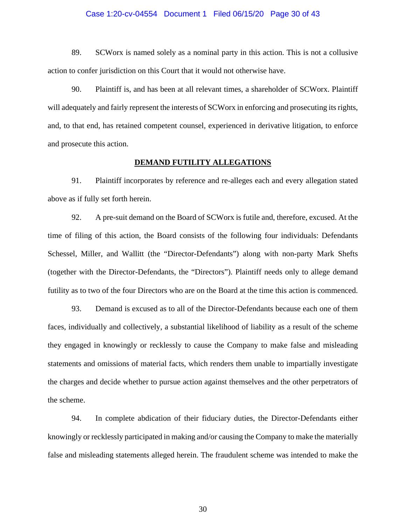#### Case 1:20-cv-04554 Document 1 Filed 06/15/20 Page 30 of 43

89. SCWorx is named solely as a nominal party in this action. This is not a collusive action to confer jurisdiction on this Court that it would not otherwise have.

90. Plaintiff is, and has been at all relevant times, a shareholder of SCWorx. Plaintiff will adequately and fairly represent the interests of SCWorx in enforcing and prosecuting its rights, and, to that end, has retained competent counsel, experienced in derivative litigation, to enforce and prosecute this action.

#### **DEMAND FUTILITY ALLEGATIONS**

91. Plaintiff incorporates by reference and re-alleges each and every allegation stated above as if fully set forth herein.

92. A pre-suit demand on the Board of SCWorx is futile and, therefore, excused. At the time of filing of this action, the Board consists of the following four individuals: Defendants Schessel, Miller, and Wallitt (the "Director-Defendants") along with non-party Mark Shefts (together with the Director-Defendants, the "Directors"). Plaintiff needs only to allege demand futility as to two of the four Directors who are on the Board at the time this action is commenced.

93. Demand is excused as to all of the Director-Defendants because each one of them faces, individually and collectively, a substantial likelihood of liability as a result of the scheme they engaged in knowingly or recklessly to cause the Company to make false and misleading statements and omissions of material facts, which renders them unable to impartially investigate the charges and decide whether to pursue action against themselves and the other perpetrators of the scheme.

94. In complete abdication of their fiduciary duties, the Director-Defendants either knowingly or recklessly participated in making and/or causing the Company to make the materially false and misleading statements alleged herein. The fraudulent scheme was intended to make the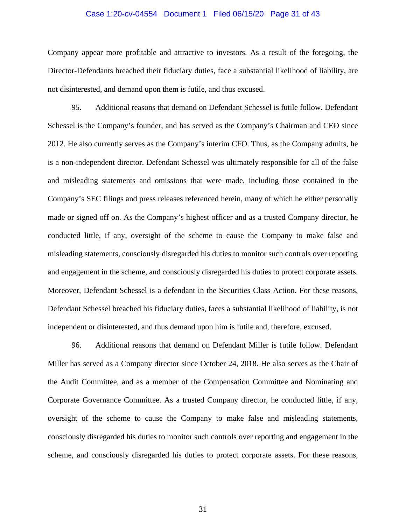#### Case 1:20-cv-04554 Document 1 Filed 06/15/20 Page 31 of 43

Company appear more profitable and attractive to investors. As a result of the foregoing, the Director-Defendants breached their fiduciary duties, face a substantial likelihood of liability, are not disinterested, and demand upon them is futile, and thus excused.

95. Additional reasons that demand on Defendant Schessel is futile follow. Defendant Schessel is the Company's founder, and has served as the Company's Chairman and CEO since 2012. He also currently serves as the Company's interim CFO. Thus, as the Company admits, he is a non-independent director. Defendant Schessel was ultimately responsible for all of the false and misleading statements and omissions that were made, including those contained in the Company's SEC filings and press releases referenced herein, many of which he either personally made or signed off on. As the Company's highest officer and as a trusted Company director, he conducted little, if any, oversight of the scheme to cause the Company to make false and misleading statements, consciously disregarded his duties to monitor such controls over reporting and engagement in the scheme, and consciously disregarded his duties to protect corporate assets. Moreover, Defendant Schessel is a defendant in the Securities Class Action. For these reasons, Defendant Schessel breached his fiduciary duties, faces a substantial likelihood of liability, is not independent or disinterested, and thus demand upon him is futile and, therefore, excused.

96. Additional reasons that demand on Defendant Miller is futile follow. Defendant Miller has served as a Company director since October 24, 2018. He also serves as the Chair of the Audit Committee, and as a member of the Compensation Committee and Nominating and Corporate Governance Committee. As a trusted Company director, he conducted little, if any, oversight of the scheme to cause the Company to make false and misleading statements, consciously disregarded his duties to monitor such controls over reporting and engagement in the scheme, and consciously disregarded his duties to protect corporate assets. For these reasons,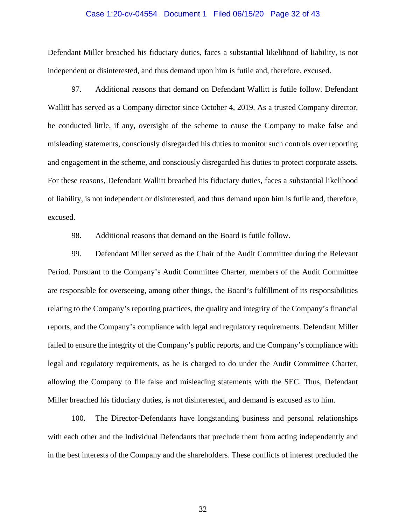#### Case 1:20-cv-04554 Document 1 Filed 06/15/20 Page 32 of 43

Defendant Miller breached his fiduciary duties, faces a substantial likelihood of liability, is not independent or disinterested, and thus demand upon him is futile and, therefore, excused.

97. Additional reasons that demand on Defendant Wallitt is futile follow. Defendant Wallitt has served as a Company director since October 4, 2019. As a trusted Company director, he conducted little, if any, oversight of the scheme to cause the Company to make false and misleading statements, consciously disregarded his duties to monitor such controls over reporting and engagement in the scheme, and consciously disregarded his duties to protect corporate assets. For these reasons, Defendant Wallitt breached his fiduciary duties, faces a substantial likelihood of liability, is not independent or disinterested, and thus demand upon him is futile and, therefore, excused.

98. Additional reasons that demand on the Board is futile follow.

99. Defendant Miller served as the Chair of the Audit Committee during the Relevant Period. Pursuant to the Company's Audit Committee Charter, members of the Audit Committee are responsible for overseeing, among other things, the Board's fulfillment of its responsibilities relating to the Company's reporting practices, the quality and integrity of the Company's financial reports, and the Company's compliance with legal and regulatory requirements. Defendant Miller failed to ensure the integrity of the Company's public reports, and the Company's compliance with legal and regulatory requirements, as he is charged to do under the Audit Committee Charter, allowing the Company to file false and misleading statements with the SEC. Thus, Defendant Miller breached his fiduciary duties, is not disinterested, and demand is excused as to him.

100. The Director-Defendants have longstanding business and personal relationships with each other and the Individual Defendants that preclude them from acting independently and in the best interests of the Company and the shareholders. These conflicts of interest precluded the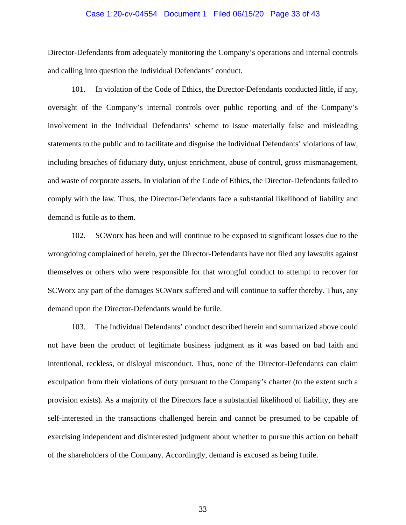#### Case 1:20-cv-04554 Document 1 Filed 06/15/20 Page 33 of 43

Director-Defendants from adequately monitoring the Company's operations and internal controls and calling into question the Individual Defendants' conduct.

101. In violation of the Code of Ethics, the Director-Defendants conducted little, if any, oversight of the Company's internal controls over public reporting and of the Company's involvement in the Individual Defendants' scheme to issue materially false and misleading statements to the public and to facilitate and disguise the Individual Defendants' violations of law, including breaches of fiduciary duty, unjust enrichment, abuse of control, gross mismanagement, and waste of corporate assets. In violation of the Code of Ethics, the Director-Defendants failed to comply with the law. Thus, the Director-Defendants face a substantial likelihood of liability and demand is futile as to them.

102. SCWorx has been and will continue to be exposed to significant losses due to the wrongdoing complained of herein, yet the Director-Defendants have not filed any lawsuits against themselves or others who were responsible for that wrongful conduct to attempt to recover for SCWorx any part of the damages SCWorx suffered and will continue to suffer thereby. Thus, any demand upon the Director-Defendants would be futile.

103. The Individual Defendants' conduct described herein and summarized above could not have been the product of legitimate business judgment as it was based on bad faith and intentional, reckless, or disloyal misconduct. Thus, none of the Director-Defendants can claim exculpation from their violations of duty pursuant to the Company's charter (to the extent such a provision exists). As a majority of the Directors face a substantial likelihood of liability, they are self-interested in the transactions challenged herein and cannot be presumed to be capable of exercising independent and disinterested judgment about whether to pursue this action on behalf of the shareholders of the Company. Accordingly, demand is excused as being futile.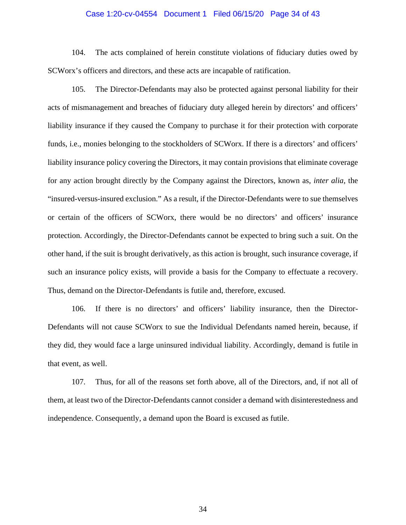#### Case 1:20-cv-04554 Document 1 Filed 06/15/20 Page 34 of 43

104. The acts complained of herein constitute violations of fiduciary duties owed by SCWorx's officers and directors, and these acts are incapable of ratification.

105. The Director-Defendants may also be protected against personal liability for their acts of mismanagement and breaches of fiduciary duty alleged herein by directors' and officers' liability insurance if they caused the Company to purchase it for their protection with corporate funds, i.e., monies belonging to the stockholders of SCWorx. If there is a directors' and officers' liability insurance policy covering the Directors, it may contain provisions that eliminate coverage for any action brought directly by the Company against the Directors, known as, *inter alia*, the "insured-versus-insured exclusion." As a result, if the Director-Defendants were to sue themselves or certain of the officers of SCWorx, there would be no directors' and officers' insurance protection. Accordingly, the Director-Defendants cannot be expected to bring such a suit. On the other hand, if the suit is brought derivatively, as this action is brought, such insurance coverage, if such an insurance policy exists, will provide a basis for the Company to effectuate a recovery. Thus, demand on the Director-Defendants is futile and, therefore, excused.

106. If there is no directors' and officers' liability insurance, then the Director-Defendants will not cause SCWorx to sue the Individual Defendants named herein, because, if they did, they would face a large uninsured individual liability. Accordingly, demand is futile in that event, as well.

107. Thus, for all of the reasons set forth above, all of the Directors, and, if not all of them, at least two of the Director-Defendants cannot consider a demand with disinterestedness and independence. Consequently, a demand upon the Board is excused as futile.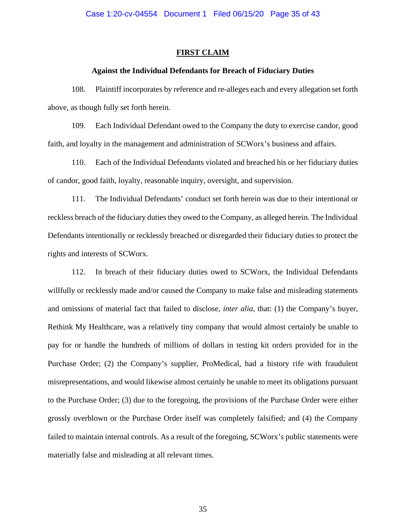#### **FIRST CLAIM**

#### **Against the Individual Defendants for Breach of Fiduciary Duties**

108. Plaintiff incorporates by reference and re-alleges each and every allegation set forth above, as though fully set forth herein.

109. Each Individual Defendant owed to the Company the duty to exercise candor, good faith, and loyalty in the management and administration of SCWorx's business and affairs.

110. Each of the Individual Defendants violated and breached his or her fiduciary duties of candor, good faith, loyalty, reasonable inquiry, oversight, and supervision.

111. The Individual Defendants' conduct set forth herein was due to their intentional or reckless breach of the fiduciary duties they owed to the Company, as alleged herein. The Individual Defendants intentionally or recklessly breached or disregarded their fiduciary duties to protect the rights and interests of SCWorx.

112. In breach of their fiduciary duties owed to SCWorx, the Individual Defendants willfully or recklessly made and/or caused the Company to make false and misleading statements and omissions of material fact that failed to disclose, *inter alia*, that: (1) the Company's buyer, Rethink My Healthcare, was a relatively tiny company that would almost certainly be unable to pay for or handle the hundreds of millions of dollars in testing kit orders provided for in the Purchase Order; (2) the Company's supplier, ProMedical, had a history rife with fraudulent misrepresentations, and would likewise almost certainly be unable to meet its obligations pursuant to the Purchase Order; (3) due to the foregoing, the provisions of the Purchase Order were either grossly overblown or the Purchase Order itself was completely falsified; and (4) the Company failed to maintain internal controls. As a result of the foregoing, SCWorx's public statements were materially false and misleading at all relevant times.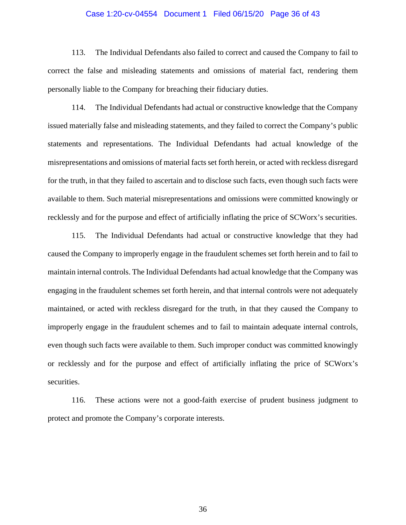#### Case 1:20-cv-04554 Document 1 Filed 06/15/20 Page 36 of 43

113. The Individual Defendants also failed to correct and caused the Company to fail to correct the false and misleading statements and omissions of material fact, rendering them personally liable to the Company for breaching their fiduciary duties.

114. The Individual Defendants had actual or constructive knowledge that the Company issued materially false and misleading statements, and they failed to correct the Company's public statements and representations. The Individual Defendants had actual knowledge of the misrepresentations and omissions of material facts set forth herein, or acted with reckless disregard for the truth, in that they failed to ascertain and to disclose such facts, even though such facts were available to them. Such material misrepresentations and omissions were committed knowingly or recklessly and for the purpose and effect of artificially inflating the price of SCWorx's securities.

115. The Individual Defendants had actual or constructive knowledge that they had caused the Company to improperly engage in the fraudulent schemes set forth herein and to fail to maintain internal controls. The Individual Defendants had actual knowledge that the Company was engaging in the fraudulent schemes set forth herein, and that internal controls were not adequately maintained, or acted with reckless disregard for the truth, in that they caused the Company to improperly engage in the fraudulent schemes and to fail to maintain adequate internal controls, even though such facts were available to them. Such improper conduct was committed knowingly or recklessly and for the purpose and effect of artificially inflating the price of SCWorx's securities.

116. These actions were not a good-faith exercise of prudent business judgment to protect and promote the Company's corporate interests.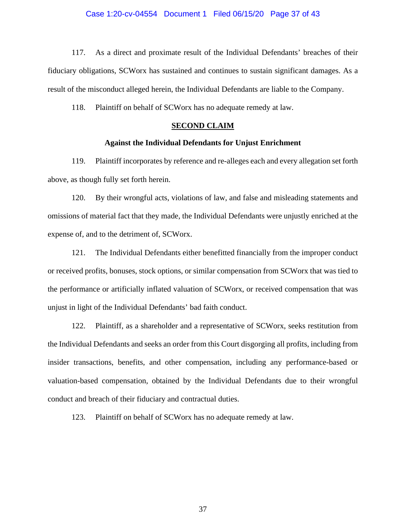#### Case 1:20-cv-04554 Document 1 Filed 06/15/20 Page 37 of 43

117. As a direct and proximate result of the Individual Defendants' breaches of their fiduciary obligations, SCWorx has sustained and continues to sustain significant damages. As a result of the misconduct alleged herein, the Individual Defendants are liable to the Company.

118. Plaintiff on behalf of SCWorx has no adequate remedy at law.

### **SECOND CLAIM**

#### **Against the Individual Defendants for Unjust Enrichment**

119. Plaintiff incorporates by reference and re-alleges each and every allegation set forth above, as though fully set forth herein.

120. By their wrongful acts, violations of law, and false and misleading statements and omissions of material fact that they made, the Individual Defendants were unjustly enriched at the expense of, and to the detriment of, SCWorx.

121. The Individual Defendants either benefitted financially from the improper conduct or received profits, bonuses, stock options, or similar compensation from SCWorx that was tied to the performance or artificially inflated valuation of SCWorx, or received compensation that was unjust in light of the Individual Defendants' bad faith conduct.

122. Plaintiff, as a shareholder and a representative of SCWorx, seeks restitution from the Individual Defendants and seeks an order from this Court disgorging all profits, including from insider transactions, benefits, and other compensation, including any performance-based or valuation-based compensation, obtained by the Individual Defendants due to their wrongful conduct and breach of their fiduciary and contractual duties.

123. Plaintiff on behalf of SCWorx has no adequate remedy at law.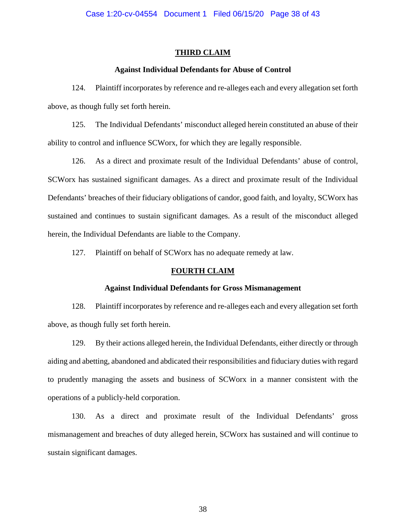### **THIRD CLAIM**

#### **Against Individual Defendants for Abuse of Control**

124. Plaintiff incorporates by reference and re-alleges each and every allegation set forth above, as though fully set forth herein.

125. The Individual Defendants' misconduct alleged herein constituted an abuse of their ability to control and influence SCWorx, for which they are legally responsible.

126. As a direct and proximate result of the Individual Defendants' abuse of control, SCWorx has sustained significant damages. As a direct and proximate result of the Individual Defendants' breaches of their fiduciary obligations of candor, good faith, and loyalty, SCWorx has sustained and continues to sustain significant damages. As a result of the misconduct alleged herein, the Individual Defendants are liable to the Company.

127. Plaintiff on behalf of SCWorx has no adequate remedy at law.

### **FOURTH CLAIM**

## **Against Individual Defendants for Gross Mismanagement**

128. Plaintiff incorporates by reference and re-alleges each and every allegation set forth above, as though fully set forth herein.

129. By their actions alleged herein, the Individual Defendants, either directly or through aiding and abetting, abandoned and abdicated their responsibilities and fiduciary duties with regard to prudently managing the assets and business of SCWorx in a manner consistent with the operations of a publicly-held corporation.

130. As a direct and proximate result of the Individual Defendants' gross mismanagement and breaches of duty alleged herein, SCWorx has sustained and will continue to sustain significant damages.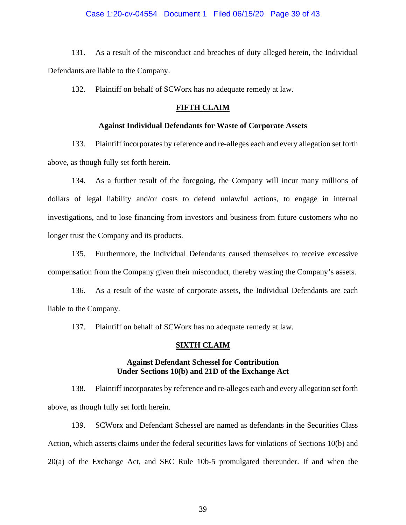### Case 1:20-cv-04554 Document 1 Filed 06/15/20 Page 39 of 43

131. As a result of the misconduct and breaches of duty alleged herein, the Individual Defendants are liable to the Company.

132. Plaintiff on behalf of SCWorx has no adequate remedy at law.

#### **FIFTH CLAIM**

## **Against Individual Defendants for Waste of Corporate Assets**

133. Plaintiff incorporates by reference and re-alleges each and every allegation set forth above, as though fully set forth herein.

134. As a further result of the foregoing, the Company will incur many millions of dollars of legal liability and/or costs to defend unlawful actions, to engage in internal investigations, and to lose financing from investors and business from future customers who no longer trust the Company and its products.

135. Furthermore, the Individual Defendants caused themselves to receive excessive compensation from the Company given their misconduct, thereby wasting the Company's assets.

136. As a result of the waste of corporate assets, the Individual Defendants are each liable to the Company.

137. Plaintiff on behalf of SCWorx has no adequate remedy at law.

#### **SIXTH CLAIM**

### **Against Defendant Schessel for Contribution Under Sections 10(b) and 21D of the Exchange Act**

138. Plaintiff incorporates by reference and re-alleges each and every allegation set forth above, as though fully set forth herein.

139. SCWorx and Defendant Schessel are named as defendants in the Securities Class Action, which asserts claims under the federal securities laws for violations of Sections 10(b) and 20(a) of the Exchange Act, and SEC Rule 10b-5 promulgated thereunder. If and when the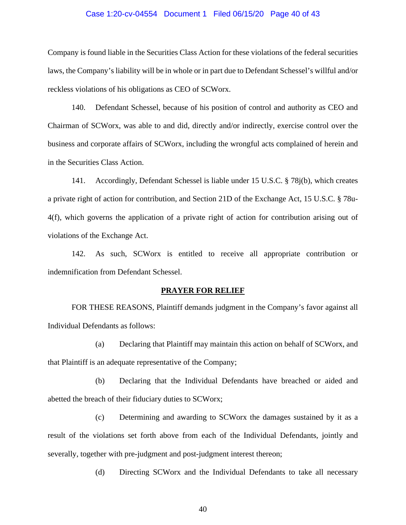#### Case 1:20-cv-04554 Document 1 Filed 06/15/20 Page 40 of 43

Company is found liable in the Securities Class Action for these violations of the federal securities laws, the Company's liability will be in whole or in part due to Defendant Schessel's willful and/or reckless violations of his obligations as CEO of SCWorx.

140. Defendant Schessel, because of his position of control and authority as CEO and Chairman of SCWorx, was able to and did, directly and/or indirectly, exercise control over the business and corporate affairs of SCWorx, including the wrongful acts complained of herein and in the Securities Class Action.

141. Accordingly, Defendant Schessel is liable under 15 U.S.C. § 78j(b), which creates a private right of action for contribution, and Section 21D of the Exchange Act, 15 U.S.C. § 78u-4(f), which governs the application of a private right of action for contribution arising out of violations of the Exchange Act.

142. As such, SCWorx is entitled to receive all appropriate contribution or indemnification from Defendant Schessel.

#### **PRAYER FOR RELIEF**

FOR THESE REASONS, Plaintiff demands judgment in the Company's favor against all Individual Defendants as follows:

(a) Declaring that Plaintiff may maintain this action on behalf of SCWorx, and that Plaintiff is an adequate representative of the Company;

(b) Declaring that the Individual Defendants have breached or aided and abetted the breach of their fiduciary duties to SCWorx;

(c) Determining and awarding to SCWorx the damages sustained by it as a result of the violations set forth above from each of the Individual Defendants, jointly and severally, together with pre-judgment and post-judgment interest thereon;

(d) Directing SCWorx and the Individual Defendants to take all necessary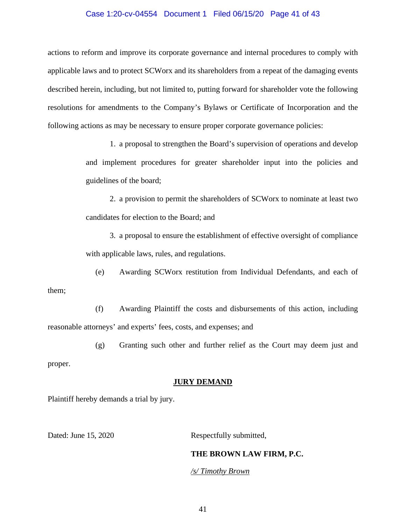### Case 1:20-cv-04554 Document 1 Filed 06/15/20 Page 41 of 43

actions to reform and improve its corporate governance and internal procedures to comply with applicable laws and to protect SCWorx and its shareholders from a repeat of the damaging events described herein, including, but not limited to, putting forward for shareholder vote the following resolutions for amendments to the Company's Bylaws or Certificate of Incorporation and the following actions as may be necessary to ensure proper corporate governance policies:

> 1. a proposal to strengthen the Board's supervision of operations and develop and implement procedures for greater shareholder input into the policies and guidelines of the board;

> 2. a provision to permit the shareholders of SCWorx to nominate at least two candidates for election to the Board; and

> 3. a proposal to ensure the establishment of effective oversight of compliance with applicable laws, rules, and regulations.

(e) Awarding SCWorx restitution from Individual Defendants, and each of them;

(f) Awarding Plaintiff the costs and disbursements of this action, including reasonable attorneys' and experts' fees, costs, and expenses; and

(g) Granting such other and further relief as the Court may deem just and

proper.

#### **JURY DEMAND**

Plaintiff hereby demands a trial by jury.

Dated: June 15, 2020 Respectfully submitted,

### **THE BROWN LAW FIRM, P.C.**

*/s/ Timothy Brown*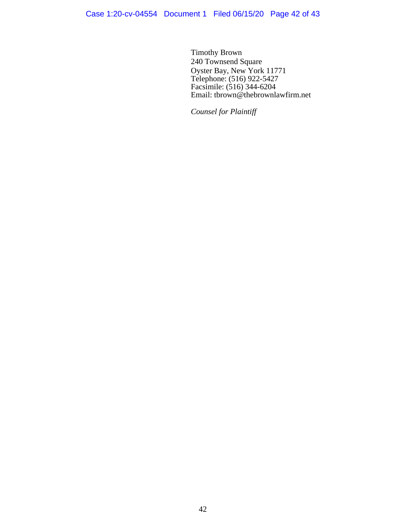Timothy Brown 240 Townsend Square Oyster Bay, New York 11771 Telephone: (516) 922-5427 Facsimile: (516) 344-6204 Email: tbrown@thebrownlawfirm.net

*Counsel for Plaintiff*